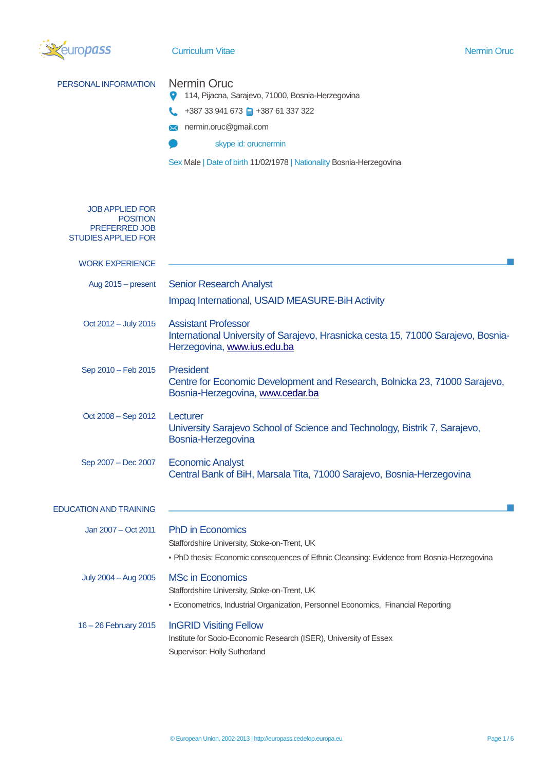

# **Curriculum Vitae Nermin Oruc** Nermin Oruc

| PERSONAL INFORMATION                                                                            | <b>Nermin Oruc</b><br>114, Pijacna, Sarajevo, 71000, Bosnia-Herzegovina<br>+387 33 941 673 +387 61 337 322<br>nermin.oruc@gmail.com<br>$\bowtie$<br>skype id: orucnermin<br>Sex Male   Date of birth 11/02/1978   Nationality Bosnia-Herzegovina |
|-------------------------------------------------------------------------------------------------|--------------------------------------------------------------------------------------------------------------------------------------------------------------------------------------------------------------------------------------------------|
| <b>JOB APPLIED FOR</b><br><b>POSITION</b><br><b>PREFERRED JOB</b><br><b>STUDIES APPLIED FOR</b> |                                                                                                                                                                                                                                                  |
| <b>WORK EXPERIENCE</b>                                                                          |                                                                                                                                                                                                                                                  |
| Aug 2015 - present                                                                              | <b>Senior Research Analyst</b><br>Impaq International, USAID MEASURE-BiH Activity                                                                                                                                                                |
| Oct 2012 - July 2015                                                                            | <b>Assistant Professor</b><br>International University of Sarajevo, Hrasnicka cesta 15, 71000 Sarajevo, Bosnia-<br>Herzegovina, www.ius.edu.ba                                                                                                   |
| Sep 2010 - Feb 2015                                                                             | <b>President</b><br>Centre for Economic Development and Research, Bolnicka 23, 71000 Sarajevo,<br>Bosnia-Herzegovina, www.cedar.ba                                                                                                               |
| Oct 2008 - Sep 2012                                                                             | Lecturer<br>University Sarajevo School of Science and Technology, Bistrik 7, Sarajevo,<br>Bosnia-Herzegovina                                                                                                                                     |
| Sep 2007 - Dec 2007                                                                             | <b>Economic Analyst</b><br>Central Bank of BiH, Marsala Tita, 71000 Sarajevo, Bosnia-Herzegovina                                                                                                                                                 |
| <b>EDUCATION AND TRAINING</b>                                                                   |                                                                                                                                                                                                                                                  |
| Jan 2007 – Oct 2011                                                                             | <b>PhD</b> in Economics<br>Staffordshire University, Stoke-on-Trent, UK<br>• PhD thesis: Economic consequences of Ethnic Cleansing: Evidence from Bosnia-Herzegovina                                                                             |
| July 2004 - Aug 2005                                                                            | <b>MSc in Economics</b><br>Staffordshire University, Stoke-on-Trent, UK<br>- Econometrics, Industrial Organization, Personnel Economics, Financial Reporting                                                                                     |
| 16 - 26 February 2015                                                                           | <b>InGRID Visiting Fellow</b><br>Institute for Socio-Economic Research (ISER), University of Essex<br>Supervisor: Holly Sutherland                                                                                                               |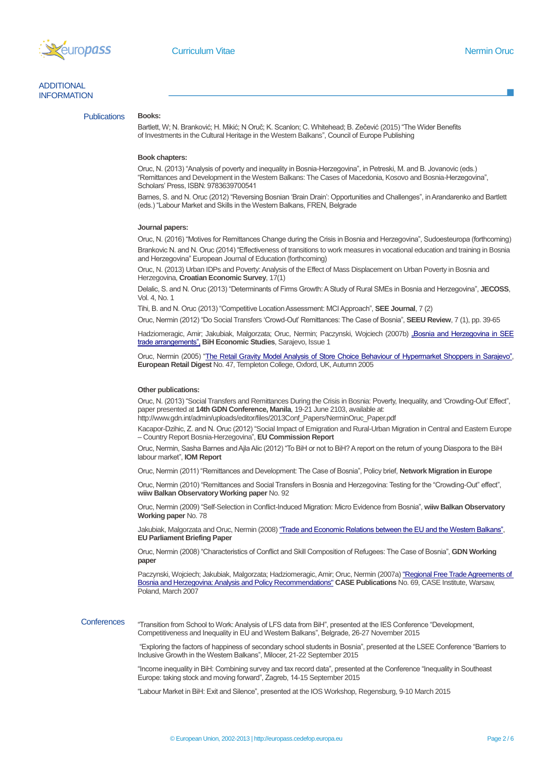

# ADDITIONAL **INFORMATION**

# **Publications**

Bartlett, W; N. Branković; H. Mikić; N Oruč; K. Scanlon; C. Whitehead; B. Zečević (2015) "The Wider Benefits

of Investments in the Cultural Heritage in the Western Balkans", Council of Europe Publishing

#### **Book chapters:**

**Books:**

Oruc, N. (2013) "Analysis of poverty and inequality in Bosnia-Herzegovina", in Petreski, M. and B. Jovanovic (eds.) "Remittances and Development in the Western Balkans: The Cases of Macedonia, Kosovo and Bosnia-Herzegovina", Scholars' Press, ISBN: 9783639700541

Barnes, S. and N. Oruc (2012) "Reversing Bosnian 'Brain Drain': Opportunities and Challenges", in Arandarenko and Bartlett (eds.) "Labour Market and Skills in the Western Balkans, FREN, Belgrade

#### **Journal papers:**

Oruc, N. (2016) "Motives for Remittances Change during the Crisis in Bosnia and Herzegovina", Sudoesteuropa (forthcoming) Brankovic N. and N. Oruc (2014) "Effectiveness of transitions to work measures in vocational education and training in Bosnia and Herzegovina" European Journal of Education (forthcoming)

Oruc, N. (2013) Urban IDPs and Poverty: Analysis of the Effect of Mass Displacement on Urban Poverty in Bosnia and Herzegovina, **Croatian Economic Survey**, 17(1)

Delalic, S. and N. Oruc (2013) "Determinants of Firms Growth: A Study of Rural SMEs in Bosnia and Herzegovina", **JECOSS**, Vol. 4, No. 1

Tihi, B. and N. Oruc (2013) "Competitive Location Assessment: MCI Approach", **SEE Journal**, 7 (2)

Oruc, Nermin (2012) "Do Social Transfers 'Crowd-Out' Remittances: The Case of Bosnia", **SEEU Review**, 7 (1), pp. 39-65

Hadziomeragic, Amir; Jakubiak, Malgorzata; Oruc, Nermin; Paczynski, Wojciech (2007b) "Bosnia and Herzegovina in SEE [trade arrangements",](http://www.dep.gov.ba/dwnld/Working_Papers_Mentored/BiH_economic_studies.pdf) **BiH Economic Studies**, Sarajevo, Issue 1

Oruc, Nermin (2005) ["The Retail Gravity Model Analysis of Store Choice Behaviour of Hypermarket Shoppers in Sarajevo",](http://www.templeton.ox.ac.uk/erd/Issue47.htm)  **European Retail Digest** No. 47, Templeton College, Oxford, UK, Autumn 2005

#### **Other publications:**

Oruc, N. (2013) "Social Transfers and Remittances During the Crisis in Bosnia: Poverty, Inequality, and 'Crowding-Out' Effect", paper presented at **14th GDN Conference, Manila**, 19-21 June 2103, available at: http://www.gdn.int/admin/uploads/editor/files/2013Conf\_Papers/NerminOruc\_Paper.pdf

Kacapor-Dzihic, Z. and N. Oruc (2012) "Social Impact of Emigration and Rural-Urban Migration in Central and Eastern Europe – Country Report Bosnia-Herzegovina", **EU Commission Report**

Oruc, Nermin, Sasha Barnes and Ajla Alic (2012) "To BiH or not to BiH? A report on the return of young Diaspora to the BiH labour market", **IOM Report**

Oruc, Nermin (2011) "Remittances and Development: The Case of Bosnia", Policy brief, **Network Migration in Europe**

Oruc, Nermin (2010) "Remittances and Social Transfers in Bosnia and Herzegovina: Testing for the "Crowding-Out" effect", **wiiw Balkan Observatory Working paper** No. 92

Oruc, Nermin (2009) "Self-Selection in Conflict-Induced Migration: Micro Evidence from Bosnia", **wiiw Balkan Observatory Working paper** No. 78

Jakubiak, Malgorzata and Oruc, Nermin (2008[\) "Trade and Economic Relations between the EU and the Western Balkans",](http://www.europarl.europa.eu/activities/committees/studies/download.do?file=22199)  **EU Parliament Briefing Paper** 

Oruc, Nermin (2008) "Characteristics of Conflict and Skill Composition of Refugees: The Case of Bosnia", **GDN Working paper**

Paczynski, Wojciech; Jakubiak, Malgorzata; Hadziomeragic, Amir; Oruc, Nermin (2007a[\) "Regional Free Trade Agreements of](http://www.case.com.pl/upload/publikacja_plik/14245156_rc69.pdf)  [Bosnia and Herzegovina: Analysis and Policy Recommendations"](http://www.case.com.pl/upload/publikacja_plik/14245156_rc69.pdf) **CASE Publications** No. 69, CASE Institute, Warsaw, Poland, March 2007

**Conferences** "Transition from School to Work: Analysis of LFS data from BiH", presented at the IES Conference "Development, Competitiveness and Inequality in EU and Western Balkans", Belgrade, 26-27 November 2015

> "Exploring the factors of happiness of secondary school students in Bosnia", presented at the LSEE Conference "Barriers to Inclusive Growth in the Western Balkans", Milocer, 21-22 September 2015

"Income inequality in BiH: Combining survey and tax record data", presented at the Conference "Inequality in Southeast Europe: taking stock and moving forward", Zagreb, 14-15 September 2015

"Labour Market in BiH: Exit and Silence", presented at the IOS Workshop, Regensburg, 9-10 March 2015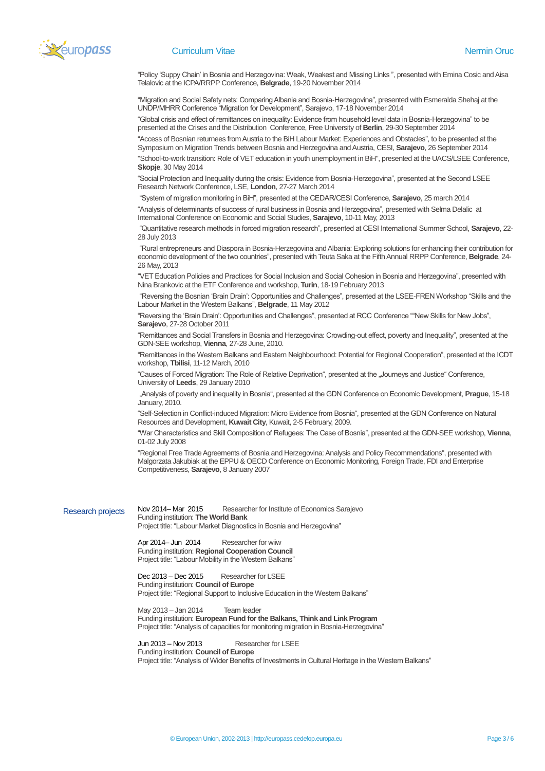

#### **Curriculum Vitae Nermin Oruc School Curriculum Vitae Nermin Oruc Nermin Oruc Nermin Oruc Nermin Oruc Nermin Oruc Nermin Oruc Nermin Oruc Nermin Oruc Nermin Oruc Nermin Oruc Nermin Oruc Nermin Oruc Nermin Oruc Nermin Oruc**

"Policy 'Suppy Chain' in Bosnia and Herzegovina: Weak, Weakest and Missing Links ", presented with Emina Cosic and Aisa Telalovic at the ICPA/RRPP Conference, **Belgrade**, 19-20 November 2014

"Migration and Social Safety nets: Comparing Albania and Bosnia-Herzegovina", presented with Esmeralda Shehaj at the UNDP/MHRR Conference "Migration for Development", Sarajevo, 17-18 November 2014

"Global crisis and effect of remittances on inequality: Evidence from household level data in Bosnia-Herzegovina" to be presented at the Crises and the Distribution Conference, Free University of **Berlin**, 29-30 September 2014

"Access of Bosnian returnees from Austria to the BiH Labour Market: Experiences and Obstacles", to be presented at the Symposium on Migration Trends between Bosnia and Herzegovina and Austria, CESI, **Sarajevo**, 26 September 2014 "School-to-work transition: Role of VET education in youth unemployment in BiH", presented at the UACS/LSEE Conference, **Skopje**, 30 May 2014

"Social Protection and Inequality during the crisis: Evidence from Bosnia-Herzegovina", presented at the Second LSEE Research Network Conference, LSE, **London**, 27-27 March 2014

"System of migration monitoring in BiH", presented at the CEDAR/CESI Conference, **Sarajevo**, 25 march 2014

"Analysis of determinants of success of rural business in Bosnia and Herzegovina", presented with Selma Delalic at International Conference on Economic and Social Studies, **Sarajevo**, 10-11 May, 2013

"Quantitative research methods in forced migration research", presented at CESI International Summer School, **Sarajevo**, 22- 28 July 2013

"Rural entrepreneurs and Diaspora in Bosnia-Herzegovina and Albania: Exploring solutions for enhancing their contribution for economic development of the two countries", presented with Teuta Saka at the Fifth Annual RRPP Conference, **Belgrade**, 24- 26 May, 2013

"VET Education Policies and Practices for Social Inclusion and Social Cohesion in Bosnia and Herzegovina", presented with Nina Brankovic at the ETF Conference and workshop, **Turin**, 18‐19 February 2013

"Reversing the Bosnian 'Brain Drain': Opportunities and Challenges", presented at the LSEE-FREN Workshop "Skills and the Labour Market in the Western Balkans", **Belgrade**, 11 May 2012

"Reversing the 'Brain Drain': Opportunities and Challenges", presented at RCC Conference ""New Skills for New Jobs", **Sarajevo**, 27-28 October 2011

"Remittances and Social Transfers in Bosnia and Herzegovina: Crowding-out effect, poverty and Inequality", presented at the GDN-SEE workshop, **Vienna**, 27-28 June, 2010.

"Remittances in the Western Balkans and Eastern Neighbourhood: Potential for Regional Cooperation", presented at the ICDT workshop, **Tbilisi**, 11-12 March, 2010

"Causes of Forced Migration: The Role of Relative Deprivation", presented at the "Journeys and Justice" Conference, University of **Leeds**, 29 January 2010

"Analysis of poverty and inequality in Bosnia", presented at the GDN Conference on Economic Development, **Prague**, 15-18 January, 2010.

"Self-Selection in Conflict-induced Migration: Micro Evidence from Bosnia", presented at the GDN Conference on Natural Resources and Development, **Kuwait City**, Kuwait, 2-5 February, 2009.

"War Characteristics and Skill Composition of Refugees: The Case of Bosnia", presented at the GDN-SEE workshop, **Vienna**, 01-02 July 2008

"Regional Free Trade Agreements of Bosnia and Herzegovina: Analysis and Policy Recommendations", presented with Malgorzata Jakubiak at the EPPU & OECD Conference on Economic Monitoring, Foreign Trade, FDI and Enterprise Competitiveness, **Sarajevo**, 8 January 2007

Research projects Nov 2014– Mar 2015 Researcher for Institute of Economics Sarajevo Funding institution: **The World Bank** Project title: "Labour Market Diagnostics in Bosnia and Herzegovina"

> Apr 2014– Jun 2014 Researcher for wiiw Funding institution: **Regional Cooperation Council** Project title: "Labour Mobility in the Western Balkans"

Dec 2013 – Dec 2015 Researcher for LSEE Funding institution: **Council of Europe** Project title: "Regional Support to Inclusive Education in the Western Balkans"

May 2013 – Jan 2014 Team leader Funding institution: **European Fund for the Balkans, Think and Link Program** Project title: "Analysis of capacities for monitoring migration in Bosnia-Herzegovina"

Jun 2013 – Nov 2013 Researcher for LSEE Funding institution: **Council of Europe** Project title: "Analysis of Wider Benefits of Investments in Cultural Heritage in the Western Balkans"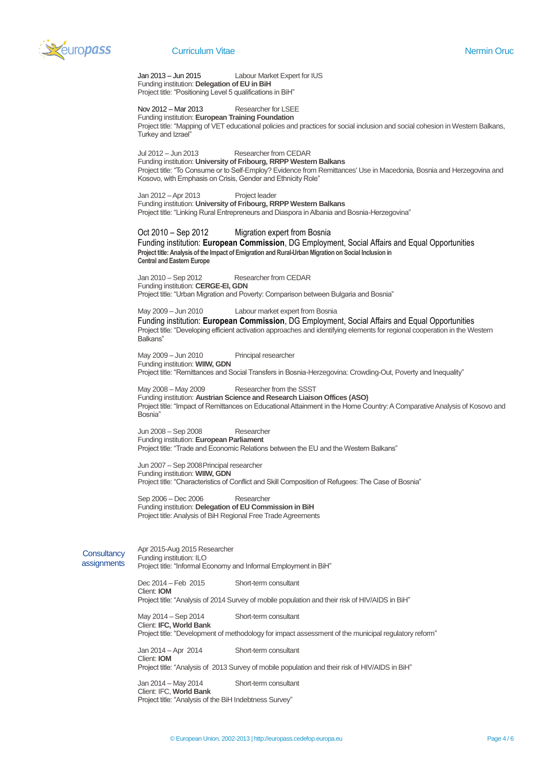

# **Curriculum Vitae Nermin Oruc School Curriculum Vitae Nermin Oruc Nermin Oruc Nermin Oruc Nermin Oruc Nermin Oruc Nermin Oruc Nermin Oruc Nermin Oruc Nermin Oruc Nermin Oruc Nermin Oruc Nermin Oruc Nermin Oruc Nermin Oruc**

Jan 2013 – Jun 2015 Labour Market Expert for IUS Funding institution: **Delegation of EU in BiH** Project title: "Positioning Level 5 qualifications in BiH"

Nov 2012 – Mar 2013 Researcher for LSEE Funding institution: **European Training Foundation**

Project title: "Mapping of VET educational policies and practices for social inclusion and social cohesion in Western Balkans, Turkey and Izrael"

Jul 2012 – Jun 2013 Researcher from CEDAR Funding institution: **University of Fribourg, RRPP Western Balkans** Project title: "To Consume or to Self-Employ? Evidence from Remittances' Use in Macedonia, Bosnia and Herzegovina and Kosovo, with Emphasis on Crisis, Gender and Ethnicity Role"

Jan 2012 –Apr 2013 Project leader Funding institution: **University of Fribourg, RRPP Western Balkans** Project title: "Linking Rural Entrepreneurs and Diaspora in Albania and Bosnia-Herzegovina"

# Oct 2010 – Sep 2012 Migration expert from Bosnia

Funding institution: **European Commission**, DG Employment, Social Affairs and Equal Opportunities **Project title: Analysis of the Impact of Emigration and Rural-Urban Migration on Social Inclusion in Central and Eastern Europe**

Jan 2010 – Sep 2012 Researcher from CEDAR Funding institution: **CERGE-EI, GDN** Project title: "Urban Migration and Poverty: Comparison between Bulgaria and Bosnia"

May 2009 – Jun 2010 Labour market expert from Bosnia Funding institution: **European Commission**, DG Employment, Social Affairs and Equal Opportunities Project title: "Developing efficient activation approaches and identifying elements for regional cooperation in the Western Balkans"

May 2009 – Jun 2010 Principal researcher Funding institution: **WIIW, GDN** Project title: "Remittances and Social Transfers in Bosnia-Herzegovina: Crowding-Out, Poverty and Inequality"

May 2008 – May 2009 Researcher from the SSST Funding institution: **Austrian Science and Research Liaison Offices (ASO)** Project title: "Impact of Remittances on Educational Attainment in the Home Country: A Comparative Analysis of Kosovo and Bosnia"

Jun 2008 – Sep 2008 Researcher Funding institution: **European Parliament** Project title: "Trade and Economic Relations between the EU and the Western Balkans"

Jun 2007 – Sep 2008Principal researcher Funding institution: **WIIW, GDN** Project title: "Characteristics of Conflict and Skill Composition of Refugees: The Case of Bosnia"

Sep 2006 – Dec 2006 Researcher Funding institution: **Delegation of EU Commission in BiH** Project title: Analysis of BiH Regional Free Trade Agreements

**Consultancy assignments** Apr 2015-Aug 2015 Researcher Funding institution: ILO Project title: "Informal Economy and Informal Employment in BiH"

> Dec 2014 – Feb 2015 Short-term consultant Client: **IOM** Project title: "Analysis of 2014 Survey of mobile population and their risk of HIV/AIDS in BiH"

May 2014 – Sep 2014 Short-term consultant Client: **IFC, World Bank**

Project title: "Development of methodology for impact assessment of the municipal regulatory reform"

Jan 2014 – Apr 2014 Short-term consultant Client: **IOM** Project title: "Analysis of 2013 Survey of mobile population and their risk of HIV/AIDS in BiH"

Jan 2014 – May 2014 Short-term consultant Client: IFC, **World Bank** Project title: "Analysis of the BiH Indebtness Survey"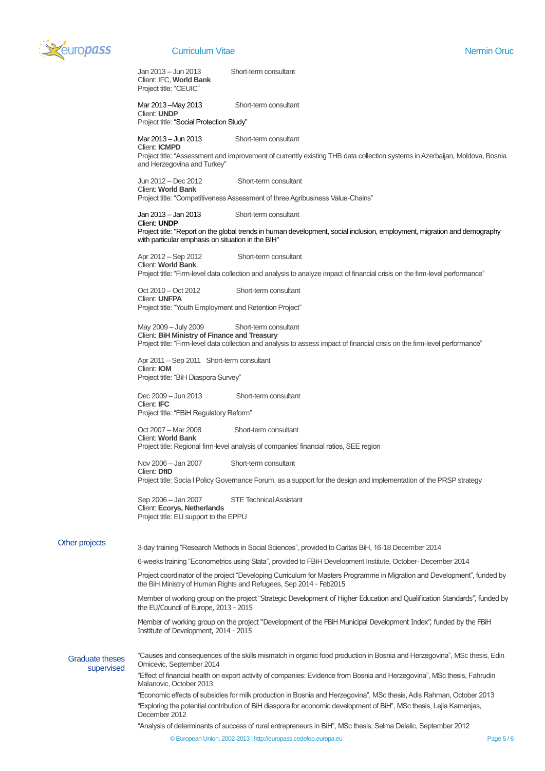

# **Curriculum Vitae Nermin Oruc School Curriculum Vitae Nermin Oruc School Curriculum Vitae Nermin Oruc Nermin Oruc**

Jan 2013 – Jun 2013 Short-term consultant Client: IFC, **World Bank** Project title: "CEUIC"

Mar 2013 –May 2013 Short-term consultant Client: **UNDP**

Project title: "Social Protection Study"

Mar 2013 – Jun 2013 Short-term consultant Client: **ICMPD** Project title: "Assessment and improvement of currently existing THB data collection systems in Azerbaijan, Moldova, Bosnia and Herzegovina and Turkey"

Jun 2012 – Dec 2012 Short-term consultant Client: **World Bank** Project title: "Competitiveness Assessment of three Agribusiness Value-Chains"

# Client: **UNDP**

Jan 2013 – Jan 2013 Short-term consultant

Project title: "Report on the global trends in human development, social inclusion, employment, migration and demography with particular emphasis on situation in the BIH"

Apr 2012 – Sep 2012 Short-term consultant Client: **World Bank** Project title: "Firm-level data collection and analysis to analyze impact of financial crisis on the firm-level performance"

Oct 2010 – Oct 2012 Short-term consultant Client: **UNFPA** Project title: "Youth Employment and Retention Project"

May 2009 – July 2009 Short-term consultant Client: **BiH Ministry of Finance and Treasury** Project title: "Firm-level data collection and analysis to assess impact of financial crisis on the firm-level performance"

Apr 2011 – Sep 2011 Short-term consultant Client: **IOM** Project title: "BiH Diaspora Survey"

Dec 2009 – Jun 2013 Short-term consultant Client: **IFC** Project title: "FBiH Regulatory Reform"

Oct 2007 – Mar 2008 Short-term consultant Client: **World Bank** Project title: Regional firm-level analysis of companies' financial ratios, SEE region

Nov 2006 – Jan 2007 Short-term consultant Client: **DfID** Project title: Socia l Policy Governance Forum, as a support for the design and implementation of the PRSP strategy

Sep 2006 – Jan 2007 STE Technical Assistant Client: **Ecorys, Netherlands** Project title: EU support to the EPPU

# Other projects

3-day training "Research Methods in Social Sciences", provided to Caritas BiH, 16-18 December 2014

6-weeks training "Econometrics using Stata", provided to FBiH Development Institute, October- December 2014

Project coordinator of the project "Developing Curriculum for Masters Programme in Migration and Development", funded by the BiH Ministry of Human Rights and Refugees, Sep 2014 - Feb2015

Member of working group on the project "Strategic Development of Higher Education and Qualification Standards", funded by the EU/Council of Europe, 2013 - 2015

Member of working group on the project "Development of the FBiH Municipal Development Index", funded by the FBiH Institute of Development, 2014 - 2015

Graduate theses supervised

"Causes and consequences of the skills mismatch in organic food production in Bosnia and Herzegovina", MSc thesis, Edin Omicevic, September 2014

"Effect of financial health on export activity of companies: Evidence from Bosnia and Herzegovina", MSc thesis, Fahrudin Malanovic, October 2013

"Economic effects of subsidies for milk production in Bosnia and Herzegovina", MSc thesis, Adis Rahman, October 2013 "Exploring the potential contribution of BiH diaspora for economic development of BiH", MSc thesis, Lejla Kamenjas, December 2012

"Analysis of determinants of success of rural entrepreneurs in BiH", MSc thesis, Selma Delalic, September 2012